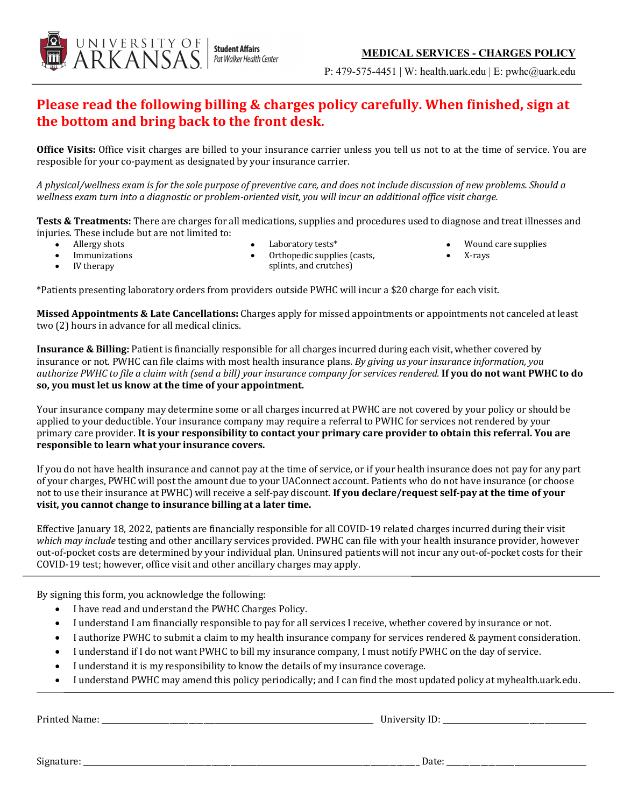

P: 479-575-4451 | W: health.uark.edu | E: pwhc@uark.edu

# **Please read the following billing & charges policy carefully. When finished, sign at** the **bottom** and **bring** back to the front desk.

Office Visits: Office visit charges are billed to your insurance carrier unless you tell us not to at the time of service. You are resposible for your co-payment as designated by your insurance carrier.

A physical/wellness exam is for the sole purpose of preventive care, and does not include discussion of new problems. Should a wellness exam turn into a diagnostic or problem-oriented visit, you will incur an additional office visit charge.

**Tests & Treatments:** There are charges for all medications, supplies and procedures used to diagnose and treat illnesses and injuries. These include but are not limited to:

Allergy shots

Laboratory tests\*

Wound care supplies

- **Immunizations**
- IV therapy
- Orthopedic supplies (casts, splints, and crutches)
- X-rays
- 

\*Patients presenting laboratory orders from providers outside PWHC will incur a \$20 charge for each visit.

**Missed Appointments & Late Cancellations:** Charges apply for missed appointments or appointments not canceled at least two (2) hours in advance for all medical clinics.

**Insurance & Billing:** Patient is financially responsible for all charges incurred during each visit, whether covered by insurance or not. PWHC can file claims with most health insurance plans. *By giving us your insurance information, you authorize* PWHC to file a claim with (send a bill) your insurance company for services rendered. **If you do not want PWHC to do** so, you must let us know at the time of your appointment.

Your insurance company may determine some or all charges incurred at PWHC are not covered by your policy or should be applied to your deductible. Your insurance company may require a referral to PWHC for services not rendered by your primary care provider. It is your responsibility to contact your primary care provider to obtain this referral. You are responsible to learn what your insurance covers.

If you do not have health insurance and cannot pay at the time of service, or if your health insurance does not pay for any part of your charges, PWHC will post the amount due to your UAConnect account. Patients who do not have insurance (or choose not to use their insurance at PWHC) will receive a self-pay discount. If you declare/request self-pay at the time of your visit, you cannot change to insurance billing at a later time.

Effective January 18, 2022, patients are financially responsible for all COVID-19 related charges incurred during their visit which may include testing and other ancillary services provided. PWHC can file with your health insurance provider, however out-of-pocket costs are determined by your individual plan. Uninsured patients will not incur any out-of-pocket costs for their COVID-19 test; however, office visit and other ancillary charges may apply.

By signing this form, you acknowledge the following:

- I have read and understand the PWHC Charges Policy.
- I understand I am financially responsible to pay for all services I receive, whether covered by insurance or not.
- I authorize PWHC to submit a claim to my health insurance company for services rendered & payment consideration.
- I understand if I do not want PWHC to bill my insurance company, I must notify PWHC on the day of service.
- I understand it is my responsibility to know the details of my insurance coverage.
- I understand PWHC may amend this policy periodically; and I can find the most updated policy at myhealth.uark.edu.

Printed Name: \_\_\_\_\_\_\_\_\_\_\_\_\_\_\_\_\_\_\_\_\_\_\_\_\_\_\_\_\_\_\_\_\_\_\_\_\_\_\_\_\_\_\_\_\_\_\_\_\_\_\_\_\_\_\_\_\_\_\_\_\_\_\_\_\_\_\_\_\_\_\_\_ University ID: \_\_\_\_\_\_\_\_\_\_\_\_\_\_\_\_\_\_\_\_\_\_\_\_\_\_\_\_\_\_\_\_\_\_\_\_\_\_

Signature: \_\_\_\_\_\_\_\_\_\_\_\_\_\_\_\_\_\_\_\_\_\_\_\_\_\_\_\_\_\_\_\_\_\_\_\_\_\_\_\_\_\_\_\_\_\_\_\_\_\_\_\_\_\_\_\_\_\_\_\_\_\_\_\_\_\_\_\_\_\_\_\_\_\_\_\_\_\_\_\_\_\_\_\_\_\_\_\_\_ Date: \_\_\_\_\_\_\_\_\_\_\_\_\_\_\_\_\_\_\_\_\_\_\_\_\_\_\_\_\_\_\_\_\_\_\_\_\_